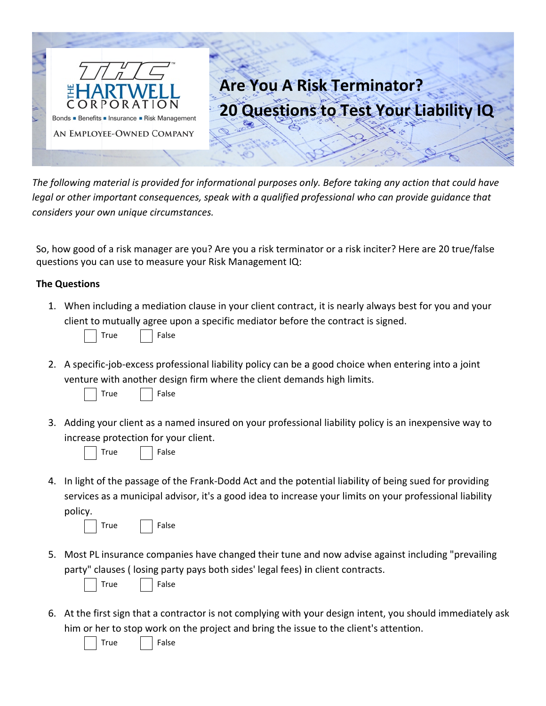

The following material is provided for informational purposes only. Before taking any action that could have legal or other important consequences, speak with a qualified professional who can provide quidance that considers your own unique circumstances.

So, how good of a risk manager are you? Are you a risk terminator or a risk inciter? Here are 20 true/false questions you can use to measure your Risk Management IQ:

## **The Questions**

1. When including a mediation clause in your client contract, it is nearly always best for you and your client to mutually agree upon a specific mediator before the contract is signed.



2. A specific-job-excess professional liability policy can be a good choice when entering into a joint venture with another design firm where the client demands high limits.



3. Adding your client as a named insured on your professional liability policy is an inexpensive way to increase protection for your client.



|--|

False

False

False

4. In light of the passage of the Frank-Dodd Act and the potential liability of being sued for providing services as a municipal advisor, it's a good idea to increase your limits on your professional liability policy.

| True |  |
|------|--|
|      |  |

5. Most PL insurance companies have changed their tune and now advise against including "prevailing party" clauses (losing party pays both sides' legal fees) in client contracts.



6. At the first sign that a contractor is not complying with your design intent, you should immediately ask him or her to stop work on the project and bring the issue to the client's attention.

True

False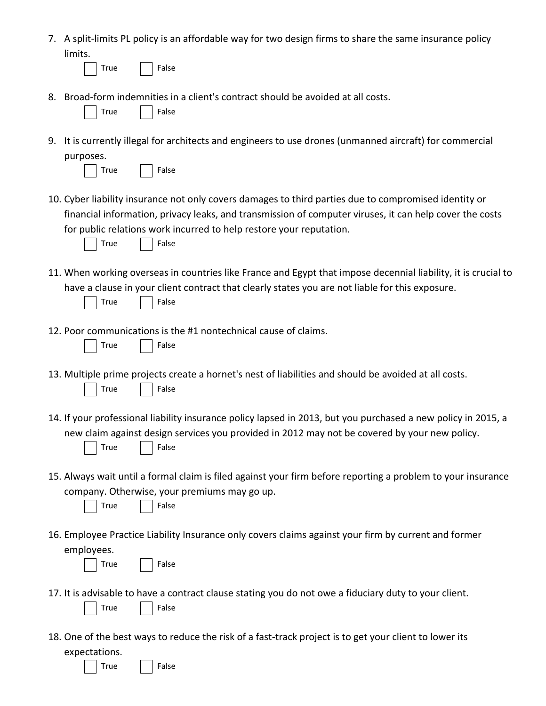7. A split‐limits PL policy is an affordable way for two design firms to share the same insurance policy limits.

True | False

False

8. Broad‐form indemnities in a client's contract should be avoided at all costs.

|  | ۱۱۵ | False |
|--|-----|-------|
|--|-----|-------|

9. It is currently illegal for architects and engineers to use drones (unmanned aircraft) for commercial purposes.

| <b>True</b> |  |
|-------------|--|
|             |  |

10. Cyber liability insurance not only covers damages to third parties due to compromised identity or financial information, privacy leaks, and transmission of computer viruses, it can help cover the costs for public relations work incurred to help restore your reputation.



11. When working overseas in countries like France and Egypt that impose decennial liability, it is crucial to have a clause in your client contract that clearly states you are not liable for this exposure.

|  |  | False |
|--|--|-------|
|--|--|-------|

12. Poor communications is the #1 nontechnical cause of claims.

|  |  | rue |  | False |
|--|--|-----|--|-------|
|--|--|-----|--|-------|

- 13. Multiple prime projects create a hornet's nest of liabilities and should be avoided at all costs. True False
- 14. If your professional liability insurance policy lapsed in 2013, but you purchased a new policy in 2015, a new claim against design services you provided in 2012 may not be covered by your new policy. True False
- 15. Always wait until a formal claim is filed against your firm before reporting a problem to your insurance company. Otherwise, your premiums may go up.

|  | ۱۱۵ | False |
|--|-----|-------|
|--|-----|-------|

16. Employee Practice Liability Insurance only covers claims against your firm by current and former employees.

|  |  | ≏<br>.,<br>г. |
|--|--|---------------|
|--|--|---------------|

False

- 17. It is advisable to have a contract clause stating you do not owe a fiduciary duty to your client. True | False
- 18. One of the best ways to reduce the risk of a fast‐track project is to get your client to lower its expectations.

True | False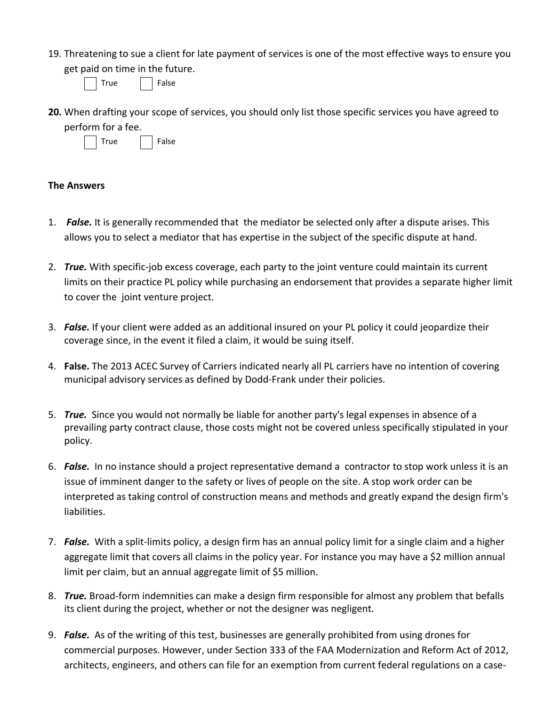19. Threatening to sue a client for late payment of services is one of the most effective ways to ensure you get paid on time in the future.

| False<br>rue) |
|---------------|
|---------------|

**20.** When drafting your scope of services, you should only list those specific services you have agreed to perform for a fee.



## **The Answers**

- 1. *False.* It is generally recommended that the mediator be selected only after a dispute arises. This allows you to select a mediator that has expertise in the subject of the specific dispute at hand.
- 2. *True.* With specific‐job excess coverage, each party to the joint venture could maintain its current limits on their practice PL policy while purchasing an endorsement that provides a separate higher limit to cover the joint venture project.
- 3. *False.* If your client were added as an additional insured on your PL policy it could jeopardize their coverage since, in the event it filed a claim, it would be suing itself.
- 4. **False.** The 2013 ACEC Survey of Carriers indicated nearly all PL carriers have no intention of covering municipal advisory services as defined by Dodd‐Frank under their policies.
- 5. *True.* Since you would not normally be liable for another party's legal expenses in absence of a prevailing party contract clause, those costs might not be covered unless specifically stipulated in your policy.
- 6. *False.* In no instance should a project representative demand a contractor to stop work unless it is an issue of imminent danger to the safety or lives of people on the site. A stop work order can be interpreted as taking control of construction means and methods and greatly expand the design firm's liabilities.
- 7. *False.* With a split‐limits policy, a design firm has an annual policy limit for a single claim and a higher aggregate limit that covers all claims in the policy year. For instance you may have a \$2 million annual limit per claim, but an annual aggregate limit of \$5 million.
- 8. *True.* Broad‐form indemnities can make a design firm responsible for almost any problem that befalls its client during the project, whether or not the designer was negligent.
- 9. *False.* As of the writing of this test, businesses are generally prohibited from using drones for commercial purposes. However, under Section 333 of the FAA Modernization and Reform Act of 2012, architects, engineers, and others can file for an exemption from current federal regulations on a case‐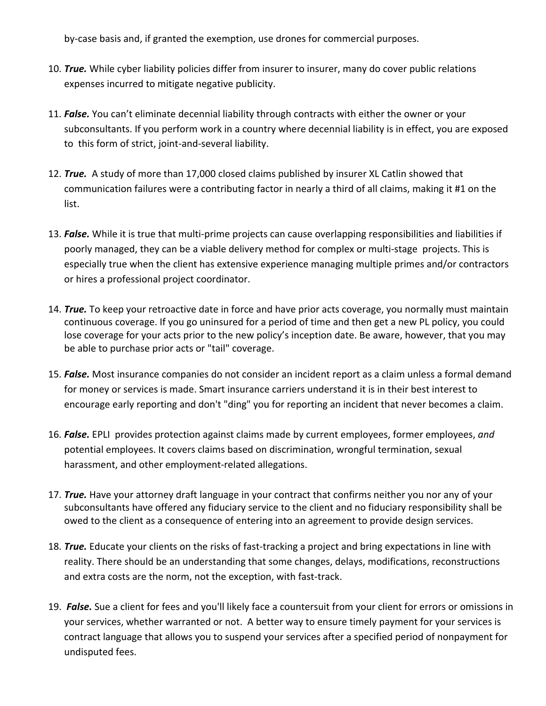by-case basis and, if granted the exemption, use drones for commercial purposes.

- 10. *True.* While cyber liability policies differ from insurer to insurer, many do cover public relations expenses incurred to mitigate negative publicity.
- 11. *False.* You can't eliminate decennial liability through contracts with either the owner or your subconsultants. If you perform work in a country where decennial liability is in effect, you are exposed to this form of strict, joint‐and‐several liability.
- 12. *True.* A study of more than 17,000 closed claims published by insurer XL Catlin showed that communication failures were a contributing factor in nearly a third of all claims, making it #1 on the list.
- 13. *False.* While it is true that multi‐prime projects can cause overlapping responsibilities and liabilities if poorly managed, they can be a viable delivery method for complex or multi-stage projects. This is especially true when the client has extensive experience managing multiple primes and/or contractors or hires a professional project coordinator.
- 14. *True.* To keep your retroactive date in force and have prior acts coverage, you normally must maintain continuous coverage. If you go uninsured for a period of time and then get a new PL policy, you could lose coverage for your acts prior to the new policy's inception date. Be aware, however, that you may be able to purchase prior acts or "tail" coverage.
- 15. *False.* Most insurance companies do not consider an incident report as a claim unless a formal demand for money or services is made. Smart insurance carriers understand it is in their best interest to encourage early reporting and don't "ding" you for reporting an incident that never becomes a claim.
- 16. *False.* EPLI provides protection against claims made by current employees, former employees, *and* potential employees. It covers claims based on discrimination, wrongful termination, sexual harassment, and other employment‐related allegations.
- 17. *True.* Have your attorney draft language in your contract that confirms neither you nor any of your subconsultants have offered any fiduciary service to the client and no fiduciary responsibility shall be owed to the client as a consequence of entering into an agreement to provide design services.
- 18. *True*. Educate your clients on the risks of fast-tracking a project and bring expectations in line with reality. There should be an understanding that some changes, delays, modifications, reconstructions and extra costs are the norm, not the exception, with fast-track.
- 19. *False.* Sue a client for fees and you'll likely face a countersuit from your client for errors or omissions in your services, whether warranted or not. A better way to ensure timely payment for your services is contract language that allows you to suspend your services after a specified period of nonpayment for undisputed fees.